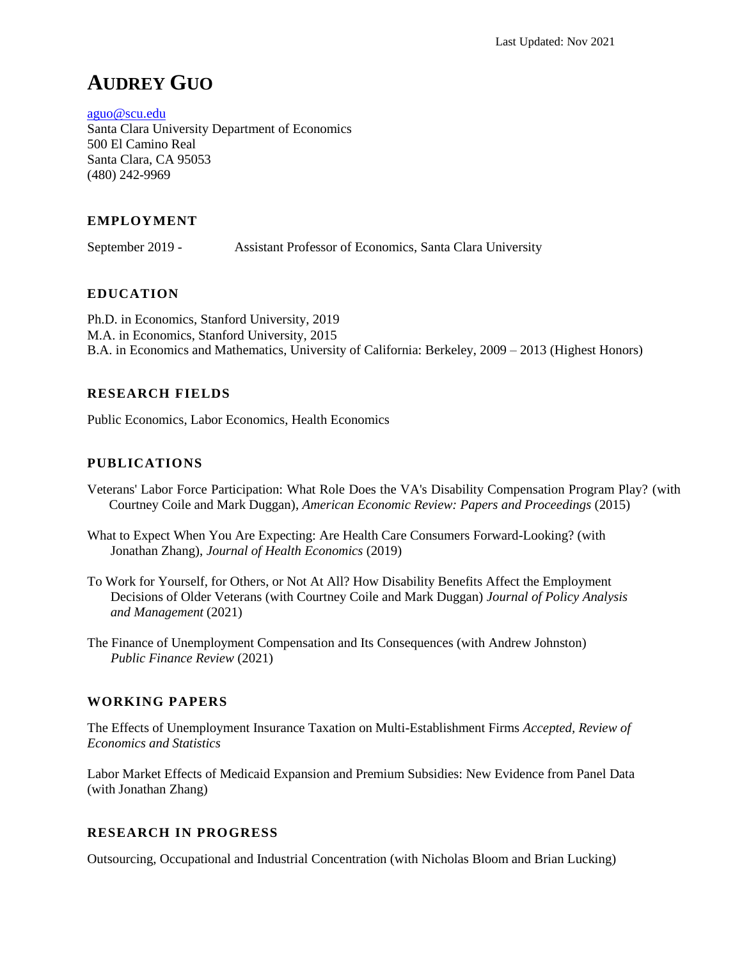# **AUDREY GUO**

[aguo@scu.edu](mailto:audrey.m.guo@gmail.com) Santa Clara University Department of Economics 500 El Camino Real Santa Clara, CA 95053 (480) 242-9969

# **EMPLOYMENT**

September 2019 - Assistant Professor of Economics, Santa Clara University

# **EDUCATION**

Ph.D. in Economics, Stanford University, 2019 M.A. in Economics, Stanford University, 2015 B.A. in Economics and Mathematics, University of California: Berkeley, 2009 – 2013 (Highest Honors)

# **RESEARCH FIELDS**

Public Economics, Labor Economics, Health Economics

# **PUBLICATIONS**

- Veterans' Labor Force Participation: What Role Does the VA's Disability Compensation Program Play? (with Courtney Coile and Mark Duggan), *American Economic Review: Papers and Proceedings* (2015)
- What to Expect When You Are Expecting: Are Health Care Consumers Forward-Looking? (with Jonathan Zhang), *Journal of Health Economics* (2019)
- To Work for Yourself, for Others, or Not At All? How Disability Benefits Affect the Employment Decisions of Older Veterans (with Courtney Coile and Mark Duggan) *Journal of Policy Analysis and Management* (2021)
- The Finance of Unemployment Compensation and Its Consequences (with Andrew Johnston) *Public Finance Review* (2021)

## **WORKING PAPERS**

The Effects of Unemployment Insurance Taxation on Multi-Establishment Firms *Accepted, Review of Economics and Statistics*

Labor Market Effects of Medicaid Expansion and Premium Subsidies: New Evidence from Panel Data (with Jonathan Zhang)

## **RESEARCH IN PROGRESS**

Outsourcing, Occupational and Industrial Concentration (with Nicholas Bloom and Brian Lucking)